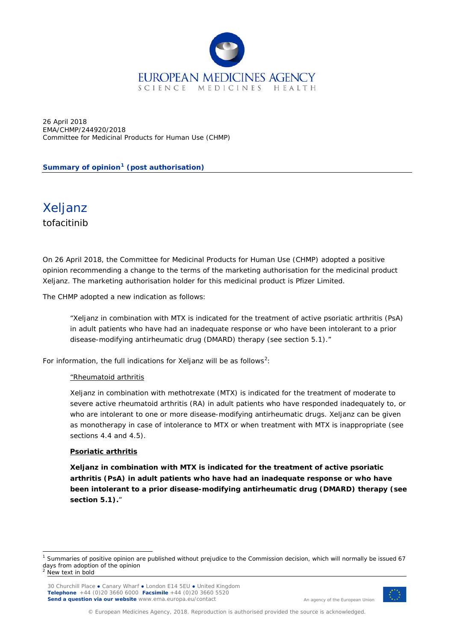

26 April 2018 EMA/CHMP/244920/2018 Committee for Medicinal Products for Human Use (CHMP)

**Summary of opinion[1](#page-0-0) (post authorisation)**

Xeljanz tofacitinib

On 26 April 2018, the Committee for Medicinal Products for Human Use (CHMP) adopted a positive opinion recommending a change to the terms of the marketing authorisation for the medicinal product Xeljanz. The marketing authorisation holder for this medicinal product is Pfizer Limited.

The CHMP adopted a new indication as follows:

"Xeljanz in combination with MTX is indicated for the treatment of active psoriatic arthritis (PsA) in adult patients who have had an inadequate response or who have been intolerant to a prior disease-modifying antirheumatic drug (DMARD) therapy (see section 5.1)."

For information, the full indications for Xeljanz will be as follows<sup>[2](#page-0-1)</sup>:

## "Rheumatoid arthritis

Xeljanz in combination with methotrexate (MTX) is indicated for the treatment of moderate to severe active rheumatoid arthritis (RA) in adult patients who have responded inadequately to, or who are intolerant to one or more disease-modifying antirheumatic drugs. Xeljanz can be given as monotherapy in case of intolerance to MTX or when treatment with MTX is inappropriate (see sections 4.4 and 4.5).

## **Psoriatic arthritis**

**Xeljanz in combination with MTX is indicated for the treatment of active psoriatic arthritis (PsA) in adult patients who have had an inadequate response or who have been intolerant to a prior disease-modifying antirheumatic drug (DMARD) therapy (see section 5.1).**"



An agency of the European Union

<span id="page-0-1"></span><span id="page-0-0"></span><sup>&</sup>lt;sup>1</sup> Summaries of positive opinion are published without prejudice to the Commission decision, which will normally be issued 67 days from adoption of the opinion New text in bold

<sup>30</sup> Churchill Place **●** Canary Wharf **●** London E14 5EU **●** United Kingdom **Telephone** +44 (0)20 3660 6000 **Facsimile** +44 (0)20 3660 5520 **Send a question via our website** www.ema.europa.eu/contact